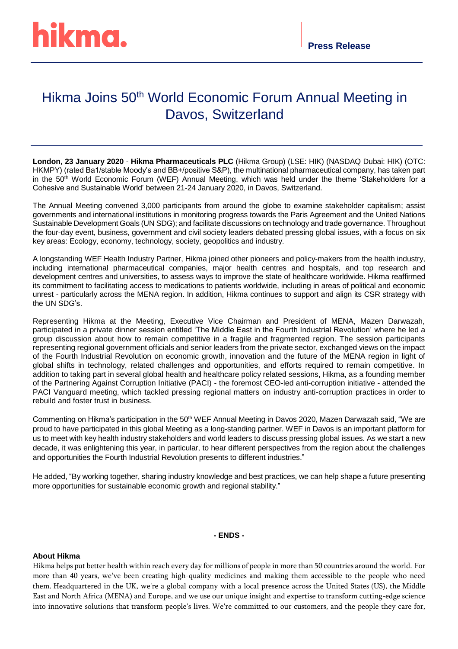## Hikma Joins 50<sup>th</sup> World Economic Forum Annual Meeting in Davos, Switzerland

**London, 23 January 2020** - **Hikma Pharmaceuticals PLC** (Hikma Group) (LSE: HIK) (NASDAQ Dubai: HIK) (OTC: HKMPY) (rated Ba1/stable Moody's and BB+/positive S&P), the multinational pharmaceutical company, has taken part in the 50th World Economic Forum (WEF) Annual Meeting, which was held under the theme 'Stakeholders for a Cohesive and Sustainable World' between 21-24 January 2020, in Davos, Switzerland.

The Annual Meeting convened 3,000 participants from around the globe to examine stakeholder capitalism; assist governments and international institutions in monitoring progress towards the Paris Agreement and the United Nations Sustainable Development Goals (UN SDG); and facilitate discussions on technology and trade governance. Throughout the four-day event, business, government and civil society leaders debated pressing global issues, with a focus on six key areas: Ecology, economy, technology, society, geopolitics and industry.

A longstanding WEF Health Industry Partner, Hikma joined other pioneers and policy-makers from the health industry, including international pharmaceutical companies, major health centres and hospitals, and top research and development centres and universities, to assess ways to improve the state of healthcare worldwide. Hikma reaffirmed its commitment to facilitating access to medications to patients worldwide, including in areas of political and economic unrest - particularly across the MENA region. In addition, Hikma continues to support and align its CSR strategy with the UN SDG's.

Representing Hikma at the Meeting, Executive Vice Chairman and President of MENA, Mazen Darwazah, participated in a private dinner session entitled 'The Middle East in the Fourth Industrial Revolution' where he led a group discussion about how to remain competitive in a fragile and fragmented region. The session participants representing regional government officials and senior leaders from the private sector, exchanged views on the impact of the Fourth Industrial Revolution on economic growth, innovation and the future of the MENA region in light of global shifts in technology, related challenges and opportunities, and efforts required to remain competitive. In addition to taking part in several global health and healthcare policy related sessions, Hikma, as a founding member of the Partnering Against Corruption Initiative (PACI) - the foremost CEO-led anti-corruption initiative - attended the PACI Vanguard meeting, which tackled pressing regional matters on industry anti-corruption practices in order to rebuild and foster trust in business.

Commenting on Hikma's participation in the 50<sup>th</sup> WEF Annual Meeting in Davos 2020, Mazen Darwazah said, "We are proud to have participated in this global Meeting as a long-standing partner. WEF in Davos is an important platform for us to meet with key health industry stakeholders and world leaders to discuss pressing global issues. As we start a new decade, it was enlightening this year, in particular, to hear different perspectives from the region about the challenges and opportunities the Fourth Industrial Revolution presents to different industries."

He added, "By working together, sharing industry knowledge and best practices, we can help shape a future presenting more opportunities for sustainable economic growth and regional stability."

## **- ENDS -**

## **About Hikma**

Hikma helps put better health within reach every day for millions of people in more than 50 countries around the world. For more than 40 years, we've been creating high-quality medicines and making them accessible to the people who need them. Headquartered in the UK, we're a global company with a local presence across the United States (US), the Middle East and North Africa (MENA) and Europe, and we use our unique insight and expertise to transform cutting-edge science into innovative solutions that transform people's lives. We're committed to our customers, and the people they care for,